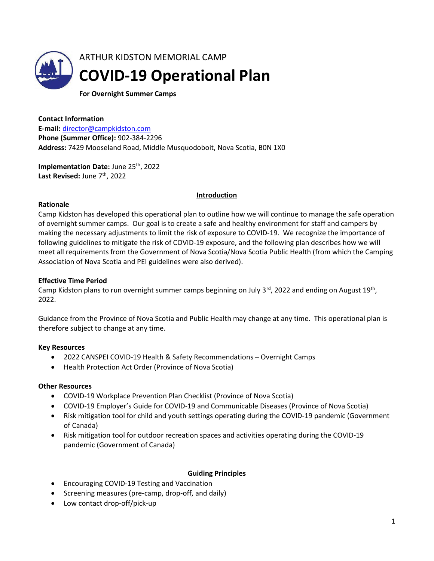

For Overnight Summer Camps

Contact Information E-mail: director@campkidston.com Phone (Summer Office): 902-384-2296 Address: 7429 Mooseland Road, Middle Musquodoboit, Nova Scotia, B0N 1X0

Implementation Date: June 25<sup>th</sup>, 2022 Last Revised: June 7<sup>th</sup>, 2022

### **Introduction**

### Rationale

Camp Kidston has developed this operational plan to outline how we will continue to manage the safe operation of overnight summer camps. Our goal is to create a safe and healthy environment for staff and campers by making the necessary adjustments to limit the risk of exposure to COVID-19. We recognize the importance of following guidelines to mitigate the risk of COVID-19 exposure, and the following plan describes how we will meet all requirements from the Government of Nova Scotia/Nova Scotia Public Health (from which the Camping Association of Nova Scotia and PEI guidelines were also derived).

### Effective Time Period

Camp Kidston plans to run overnight summer camps beginning on July 3<sup>rd</sup>, 2022 and ending on August 19<sup>th</sup>, 2022.

Guidance from the Province of Nova Scotia and Public Health may change at any time. This operational plan is therefore subject to change at any time.

#### Key Resources

- 2022 CANSPEI COVID-19 Health & Safety Recommendations Overnight Camps
- Health Protection Act Order (Province of Nova Scotia)

#### Other Resources

- COVID-19 Workplace Prevention Plan Checklist (Province of Nova Scotia)
- COVID-19 Employer's Guide for COVID-19 and Communicable Diseases (Province of Nova Scotia)
- Risk mitigation tool for child and youth settings operating during the COVID-19 pandemic (Government of Canada)
- Risk mitigation tool for outdoor recreation spaces and activities operating during the COVID-19 pandemic (Government of Canada)

### Guiding Principles

- Encouraging COVID-19 Testing and Vaccination
- Screening measures (pre-camp, drop-off, and daily)
- Low contact drop-off/pick-up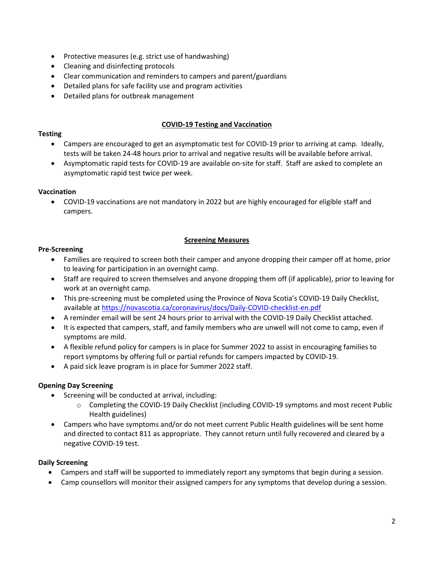- Protective measures (e.g. strict use of handwashing)
- Cleaning and disinfecting protocols
- Clear communication and reminders to campers and parent/guardians
- Detailed plans for safe facility use and program activities
- Detailed plans for outbreak management

### COVID-19 Testing and Vaccination

### **Testing**

- Campers are encouraged to get an asymptomatic test for COVID-19 prior to arriving at camp. Ideally, tests will be taken 24-48 hours prior to arrival and negative results will be available before arrival.
- Asymptomatic rapid tests for COVID-19 are available on-site for staff. Staff are asked to complete an asymptomatic rapid test twice per week.

## Vaccination

 COVID-19 vaccinations are not mandatory in 2022 but are highly encouraged for eligible staff and campers.

## Screening Measures

## Pre-Screening

- Families are required to screen both their camper and anyone dropping their camper off at home, prior to leaving for participation in an overnight camp.
- Staff are required to screen themselves and anyone dropping them off (if applicable), prior to leaving for work at an overnight camp.
- This pre-screening must be completed using the Province of Nova Scotia's COVID-19 Daily Checklist, available at https://novascotia.ca/coronavirus/docs/Daily-COVID-checklist-en.pdf
- A reminder email will be sent 24 hours prior to arrival with the COVID-19 Daily Checklist attached.
- It is expected that campers, staff, and family members who are unwell will not come to camp, even if symptoms are mild.
- A flexible refund policy for campers is in place for Summer 2022 to assist in encouraging families to report symptoms by offering full or partial refunds for campers impacted by COVID-19.
- A paid sick leave program is in place for Summer 2022 staff.

# Opening Day Screening

- Screening will be conducted at arrival, including:
	- o Completing the COVID-19 Daily Checklist (including COVID-19 symptoms and most recent Public Health guidelines)
- Campers who have symptoms and/or do not meet current Public Health guidelines will be sent home and directed to contact 811 as appropriate. They cannot return until fully recovered and cleared by a negative COVID-19 test.

# Daily Screening

- Campers and staff will be supported to immediately report any symptoms that begin during a session.
- Camp counsellors will monitor their assigned campers for any symptoms that develop during a session.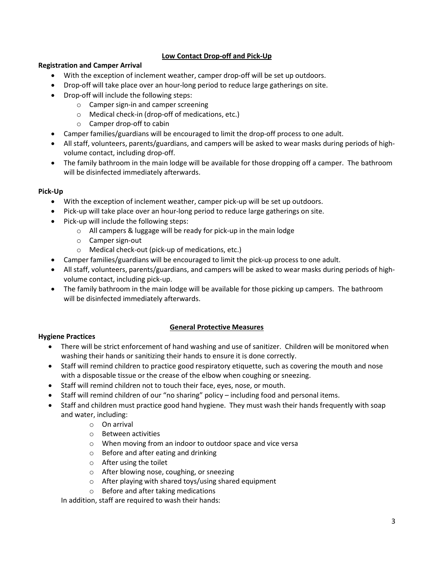# Low Contact Drop-off and Pick-Up

### Registration and Camper Arrival

- With the exception of inclement weather, camper drop-off will be set up outdoors.
- Drop-off will take place over an hour-long period to reduce large gatherings on site.
- Drop-off will include the following steps:
	- o Camper sign-in and camper screening
	- o Medical check-in (drop-off of medications, etc.)
	- o Camper drop-off to cabin
- Camper families/guardians will be encouraged to limit the drop-off process to one adult.
- All staff, volunteers, parents/guardians, and campers will be asked to wear masks during periods of highvolume contact, including drop-off.
- The family bathroom in the main lodge will be available for those dropping off a camper. The bathroom will be disinfected immediately afterwards.

### Pick-Up

- With the exception of inclement weather, camper pick-up will be set up outdoors.
- Pick-up will take place over an hour-long period to reduce large gatherings on site.
- Pick-up will include the following steps:
	- o All campers & luggage will be ready for pick-up in the main lodge
	- o Camper sign-out
	- o Medical check-out (pick-up of medications, etc.)
- Camper families/guardians will be encouraged to limit the pick-up process to one adult.
- All staff, volunteers, parents/guardians, and campers will be asked to wear masks during periods of highvolume contact, including pick-up.
- The family bathroom in the main lodge will be available for those picking up campers. The bathroom will be disinfected immediately afterwards.

### General Protective Measures

### Hygiene Practices

- There will be strict enforcement of hand washing and use of sanitizer. Children will be monitored when washing their hands or sanitizing their hands to ensure it is done correctly.
- Staff will remind children to practice good respiratory etiquette, such as covering the mouth and nose with a disposable tissue or the crease of the elbow when coughing or sneezing.
- Staff will remind children not to touch their face, eyes, nose, or mouth.
- Staff will remind children of our "no sharing" policy including food and personal items.
- Staff and children must practice good hand hygiene. They must wash their hands frequently with soap and water, including:
	- o On arrival
	- o Between activities
	- o When moving from an indoor to outdoor space and vice versa
	- o Before and after eating and drinking
	- o After using the toilet
	- o After blowing nose, coughing, or sneezing
	- o After playing with shared toys/using shared equipment
	- o Before and after taking medications

In addition, staff are required to wash their hands: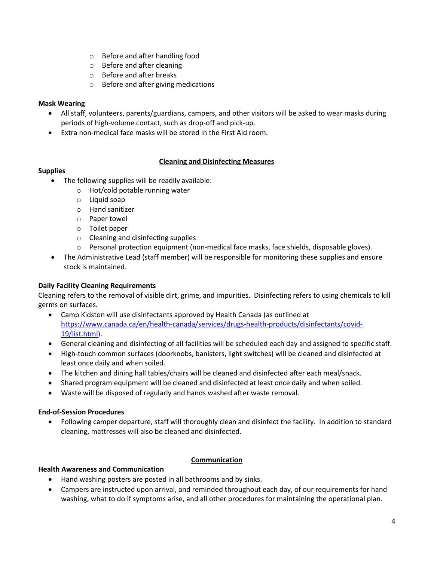- o Before and after handling food
- o Before and after cleaning
- o Before and after breaks
- o Before and after giving medications

## Mask Wearing

- All staff, volunteers, parents/guardians, campers, and other visitors will be asked to wear masks during periods of high-volume contact, such as drop-off and pick-up.
- Extra non-medical face masks will be stored in the First Aid room.

# Cleaning and Disinfecting Measures

## Supplies

- The following supplies will be readily available:
	- o Hot/cold potable running water
	- o Liquid soap
	- o Hand sanitizer
	- o Paper towel
	- o Toilet paper
	- o Cleaning and disinfecting supplies
	- o Personal protection equipment (non-medical face masks, face shields, disposable gloves).
- The Administrative Lead (staff member) will be responsible for monitoring these supplies and ensure stock is maintained.

# Daily Facility Cleaning Requirements

Cleaning refers to the removal of visible dirt, grime, and impurities. Disinfecting refers to using chemicals to kill germs on surfaces.

- Camp Kidston will use disinfectants approved by Health Canada (as outlined at https://www.canada.ca/en/health-canada/services/drugs-health-products/disinfectants/covid-19/list.html).
- General cleaning and disinfecting of all facilities will be scheduled each day and assigned to specific staff.
- High-touch common surfaces (doorknobs, banisters, light switches) will be cleaned and disinfected at least once daily and when soiled.
- The kitchen and dining hall tables/chairs will be cleaned and disinfected after each meal/snack.
- Shared program equipment will be cleaned and disinfected at least once daily and when soiled.
- Waste will be disposed of regularly and hands washed after waste removal.

### End-of-Session Procedures

 Following camper departure, staff will thoroughly clean and disinfect the facility. In addition to standard cleaning, mattresses will also be cleaned and disinfected.

### Communication

### Health Awareness and Communication

- Hand washing posters are posted in all bathrooms and by sinks.
- Campers are instructed upon arrival, and reminded throughout each day, of our requirements for hand washing, what to do if symptoms arise, and all other procedures for maintaining the operational plan.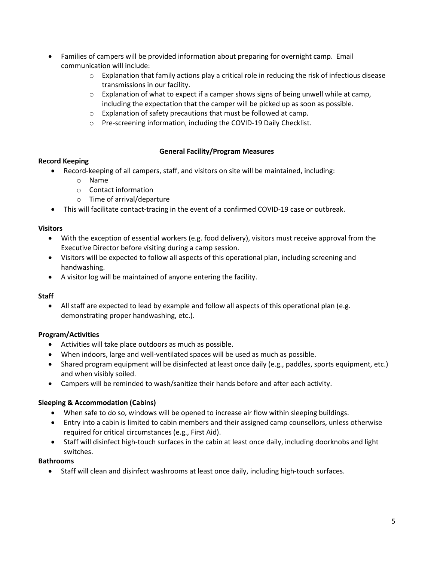- Families of campers will be provided information about preparing for overnight camp. Email communication will include:
	- $\circ$  Explanation that family actions play a critical role in reducing the risk of infectious disease transmissions in our facility.
	- $\circ$  Explanation of what to expect if a camper shows signs of being unwell while at camp, including the expectation that the camper will be picked up as soon as possible.
	- o Explanation of safety precautions that must be followed at camp.
	- o Pre-screening information, including the COVID-19 Daily Checklist.

# General Facility/Program Measures

# Record Keeping

- Record-keeping of all campers, staff, and visitors on site will be maintained, including:
	- o Name
	- o Contact information
	- o Time of arrival/departure
- This will facilitate contact-tracing in the event of a confirmed COVID-19 case or outbreak.

# **Visitors**

- With the exception of essential workers (e.g. food delivery), visitors must receive approval from the Executive Director before visiting during a camp session.
- Visitors will be expected to follow all aspects of this operational plan, including screening and handwashing.
- A visitor log will be maintained of anyone entering the facility.

# **Staff**

 All staff are expected to lead by example and follow all aspects of this operational plan (e.g. demonstrating proper handwashing, etc.).

# Program/Activities

- Activities will take place outdoors as much as possible.
- When indoors, large and well-ventilated spaces will be used as much as possible.
- Shared program equipment will be disinfected at least once daily (e.g., paddles, sports equipment, etc.) and when visibly soiled.
- Campers will be reminded to wash/sanitize their hands before and after each activity.

# Sleeping & Accommodation (Cabins)

- When safe to do so, windows will be opened to increase air flow within sleeping buildings.
- Entry into a cabin is limited to cabin members and their assigned camp counsellors, unless otherwise required for critical circumstances (e.g., First Aid).
- Staff will disinfect high-touch surfaces in the cabin at least once daily, including doorknobs and light switches.

### Bathrooms

Staff will clean and disinfect washrooms at least once daily, including high-touch surfaces.